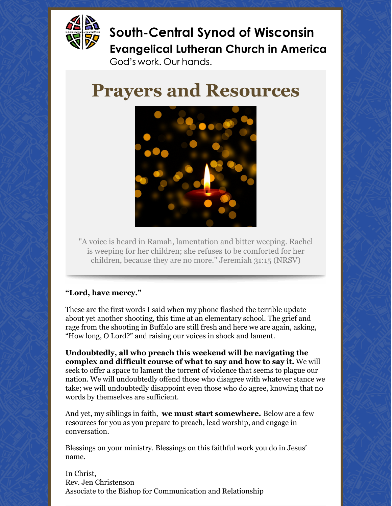

**South-Central Synod of Wisconsin Evangelical Lutheran Church in America** 

God's work. Our hands.

# **Prayers and Resources**



"A voice is heard in Ramah, lamentation and bitter weeping. Rachel is weeping for her children; she refuses to be comforted for her children, because they are no more." Jeremiah 31:15 (NRSV)

#### **"Lord, have mercy."**

These are the first words I said when my phone flashed the terrible update about yet another shooting, this time at an elementary school. The grief and rage from the shooting in Buffalo are still fresh and here we are again, asking, "How long, O Lord?" and raising our voices in shock and lament.

**Undoubtedly, all who preach this weekend will be navigating the complex and difficult course of what to say and how to say it.** We will seek to offer a space to lament the torrent of violence that seems to plague our nation. We will undoubtedly offend those who disagree with whatever stance we take; we will undoubtedly disappoint even those who do agree, knowing that no words by themselves are sufficient.

And yet, my siblings in faith, **we must start somewhere.** Below are a few resources for you as you prepare to preach, lead worship, and engage in conversation.

Blessings on your ministry. Blessings on this faithful work you do in Jesus' name.

In Christ, Rev. Jen Christenson Associate to the Bishop for Communication and Relationship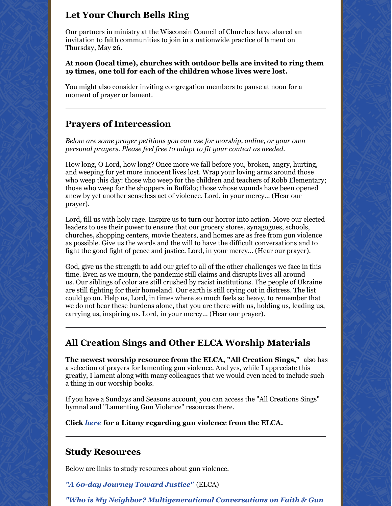## **Let Your Church Bells Ring**

Our partners in ministry at the Wisconsin Council of Churches have shared an invitation to faith communities to join in a nationwide practice of lament on Thursday, May 26.

**At noon (local time), churches with outdoor bells are invited to ring them 19 times, one toll for each of the children whose lives were lost.**

You might also consider inviting congregation members to pause at noon for a moment of prayer or lament.

### **Prayers of Intercession**

*Below are some prayer petitions you can use for worship, online, or your own personal prayers. Please feel free to adapt to fit your context as needed.*

How long, O Lord, how long? Once more we fall before you, broken, angry, hurting, and weeping for yet more innocent lives lost. Wrap your loving arms around those who weep this day: those who weep for the children and teachers of Robb Elementary; those who weep for the shoppers in Buffalo; those whose wounds have been opened anew by yet another senseless act of violence. Lord, in your mercy… (Hear our prayer).

Lord, fill us with holy rage. Inspire us to turn our horror into action. Move our elected leaders to use their power to ensure that our grocery stores, synagogues, schools, churches, shopping centers, movie theaters, and homes are as free from gun violence as possible. Give us the words and the will to have the difficult conversations and to fight the good fight of peace and justice. Lord, in your mercy… (Hear our prayer).

God, give us the strength to add our grief to all of the other challenges we face in this time. Even as we mourn, the pandemic still claims and disrupts lives all around us. Our siblings of color are still crushed by racist institutions. The people of Ukraine are still fighting for their homeland. Our earth is still crying out in distress. The list could go on. Help us, Lord, in times where so much feels so heavy, to remember that we do not bear these burdens alone, that you are there with us, holding us, leading us, carrying us, inspiring us. Lord, in your mercy… (Hear our prayer).

### **All Creation Sings and Other ELCA Worship Materials**

**The newest worship resource from the ELCA, "All Creation Sings,"** also has a selection of prayers for lamenting gun violence. And yes, while I appreciate this greatly, I lament along with many colleagues that we would even need to include such a thing in our worship books.

If you have a Sundays and Seasons account, you can access the "All Creations Sings" hymnal and "Lamenting Gun Violence" resources there.

**Click** *[here](https://files.constantcontact.com/a3f91056801/41141aff-7376-416e-8821-fc45fb2ca0b0.pdf)* **for a Litany regarding gun violence from the ELCA.**

#### **Study Resources**

Below are links to study resources about gun violence.

*"A 60-day [Journey](https://www.elca.org/60days?_ga=2.268351758.1238007867.1653521007-1957758137.1647025967) Toward Justice"* (ELCA)

*"Who is My Neighbor? [Multigenerational](https://www.wichurches.org/2020/02/study-guide-faith-gun-violence/) Conversations on Faith & Gun*